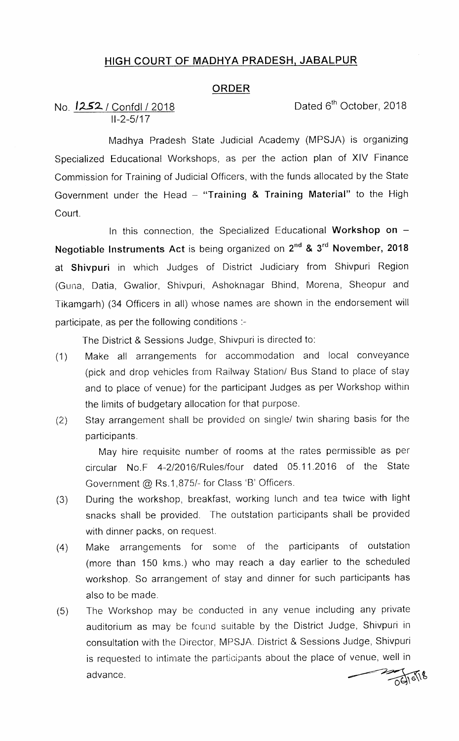## HIGH COURT OF MADHYA PRADESH, JABALPUR

## ORDER

No.  $1252$  / Confdl / 2018 Dated 6<sup>th</sup> October, 2018 11-2-5/17

Madhya Pradesh State Judicial Academy (MPSJA) is organizing Specialized Educational Workshops, as per the action plan of XIV Finance Commission for Training of Judicial Officers, with the funds allocated by the State Government under the Head  $-$  "Training & Training Material" to the High Court.

In this connection, the Specialized Educational Workshop on  $-$ Negotiable Instruments Act is being organized on  $2^{nd}$  &  $3^{rd}$  November, 2018 at Shivpuri in which Judges of District Judiciary from Shivpuri Region (Guria, Datia, Gwalior, Shivpuri, Ashoknagar Bhind, Morena, Sheopur and Tikamgarh) (34 Officers in all) whose names are shown in the endorsement will participate, as per the following conditions :-

The District & Sessions Judge, Shivpuri is directed to:

- (1) Make all arrangements for accommodation and local conveyance (pick and drop vehicles from Railway Station/ Bus Stand to place of stay and to place of venue) for the participant Judges as per Workshop within the limits of budgetary allocation for that purpose.
- (2) Stay arrangement shall be provided on single/ twin sharing basis for the participants.

May hire requisite number of rooms at the rates permissible as per circular No.F 4-2/2016/Rules/four dated 05.11.2016 of the State Government @ Rs.1,875/- for Class 'B' Officers.

- (3) During the workshop, breakfast, working lunch and tea twice with light snacks shall be provided. The outstation participants shall be provided with dinner packs, on request.
- (4) Make arrangements for some of the participants of outstation (more than 150 kms.) who may reach a day earlier to the scheduled workshop. So arrangement of stay and dinner for such participants has also to be made.
- (5) The Workshop may be conducted in any venue including any private auditorium as may be found suitable by the District Judge, Shivpuri in consultation with the Director. MPSJA. District & Sessions Judge, Shivpuri is requested to intimate the participants about the place of venue, well in advance.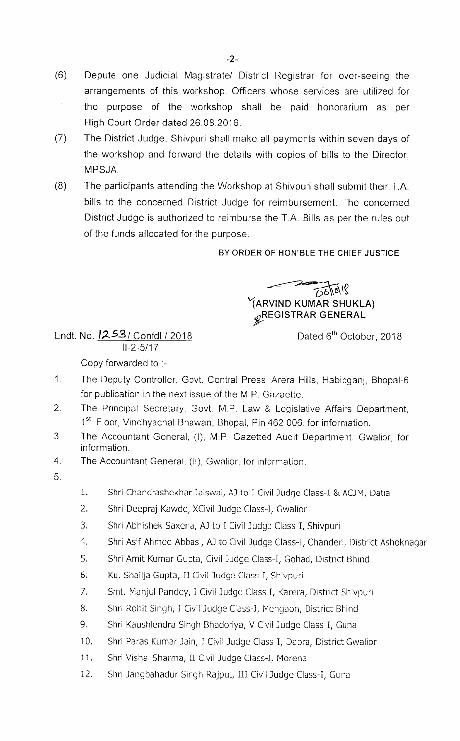- (6) Depute one Judicial Magistrate/ District Registrar for over-seeing the arrangements of this workshop. Officers whose services are utilized for the purpose of the workshop shall be paid honorarium as per High Court Order dated 26.08.2016.
- (7) The District Judge, Shivpuri shall make all payments within seven days of the workshop and forward the details with copies of bills to the Director, MPSJA.
- (8) The participants attending the Workshop at Shivpuri shall submit their T.A. bills to the concerned District Judge for reimbursement. The concerned District Judge is authorized to reimburse the T.A. Bills as per the rules out of the funds allocated for the purpose.

## BY ORDER OF HON'BLE THE CHIEF JUSTICE

 $0.61018$ YARVIND KUMAR SHUKLA)  $\mathscr{R}$ REGISTRAR GENERAL

Dated 6<sup>th</sup> October, 2018

Endt. No.12£3/ Confdl / 2018 11-2-5/17 Copy forwarded to :-

- 1. The Deputy Controller, Govt. Central Press, Arera Hills, Habibganj, Bhopal-6 for publication in the next issue of the M.P. Gazaette.
- 2. The Principal Secretary, Govt. M.P. Law & Legislative Affairs Department, 1<sup>st</sup> Floor, Vindhyachal Bhawan, Bhopal, Pin 462 006, for information.
- 3. The Accountant General, (I), M.P. Gazetted Audit Department, Gwalior, for information.
- 4. The Accountant General, (ll), Gwalior, for information.
- 5.
- 1. Shri Chandrashekhar Jaiswal, AJ to I Civil Judge Class-I & ACJM, Datia
- 2. Shri Deepraj Kawde, Xcivil Judge class-I, Gwalior
- 3, Shri Abhishek saxena, AJ to I civil Judge class-I, Shivpuri
- 4. Shri Asif Ahmed Abbasi, AJ to civil Judge class-I, Chanderi, District Ashoknagar
- 5. Shri Amit Kumar Gupta, Civil Judge class-I, Gohad, District Bhind
- 6. Ku. Shailja Gupta, II civil Judge class-I, Shivpuri
- 7. Smt. Manjul pandey, I civil Judge class-I, Karera, District shivpuri
- 8. Shri Rohit Singh, I Civil Judge Class-I, Mehgaon, District Bhind
- 9. Shri Kaushlendra Singh Bhadoriya, V Civil Judge Class-I, Guna
- 10. Shri Paras Kumar Jain, I Civil Judge Class-I, Dabra, District Gwalior
- 11. Shri Vishal Sharma, II Civil Judge Class-I, Morena
- 12. Shri Jangbahadur Singh Rajput, III Civil Judge Class-I, Guna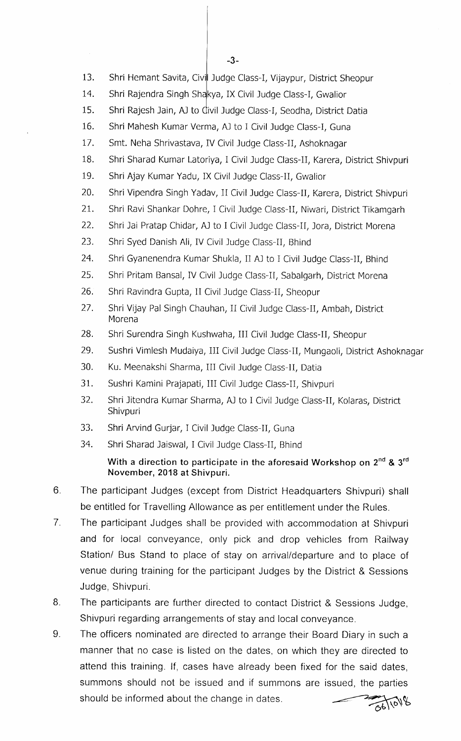$-3-$ 

- 13. Shri Hemant Savita, Civil Judge Class-I, Vijaypur, District Sheopur
- 14. Shri Rajendra Singh Shakya, IX Civil Judge Class-I, Gwalior
- 15. Shri Rajesh Jain, AJ to divil Judge Class-I, Seodha, District Datia
- 16. Shri Mahesh Kumar Verma, AJ to I Civil Judge Class-I, Guna
- 17. Smt. Neha shrivastava, IV civil Judge class-II, Ashoknagar
- 18. Shri sharad Kumar Latoriya, I civil Judge class-II, Karera, District shivpuri
- 19. Shri Ajay Kumar Yadu, IX Civil Judge Class-II, Gwalior
- 20. Shri Vipendra Singh Yadav, II Civil Judge Class-II, Karera, District Shivpuri
- 21. Shri Ravi Shankar Dohre, I Civil Judge Class-II, Niwari, District Tikamgarh
- 22. Shri Jai Pratap Chidar, AJ to I Civil Judge Class-II, Jora, District Morena
- 23. Shri Syed Danish Ali, IV Civil Judge Class-II, Bhind
- 24. Shri Gyanenendra Kumar Shukla, II AJ to I Civil Judge Class-II, Bhind
- 25. Shri pritam Bansal, IV civil Judge class-II, Sabalgarh, District Morena
- 26, Shri Ravindra Gupta, lI civil Judge class-II, Sheopur
- 27. Shri Vijay Pal Singh Chauhan, II Civil Judge Class-II, Ambah, District Morena
- 28. Shri Surendra Singh Kushwaha, III Civil Judge Class-II, Sheopur
- 29. Sushri vimlesh Mudaiya, Ill civil Judge class-II, Mungaoli, District Ashoknagar
- 30. Ku. Meenakshi sharma, Ill civil Judge class-II, Datia
- 31. Sushri Kamini Prajapati, III Civil Judge Class-II, Shivpuri
- 32. Shri Jitendra Kumar sharma, AJ to 1 civil Judge class-II, Kolaras, District Shivpuri
- 33. Shri Arvind Gurjar, I civil Judge class-II, Guna
- 34. Shri Sharad Jaiswal, I Civil Judge Class-II, Bhind

## With a direction to participate in the aforesaid Workshop on  $2^{nd}$  &  $3^{rd}$ November, 2018 at Shivpuri.

- 6. The participant Judges (except from District Headquarters shivpuri) shall be entitled for Travelling Allowance as per entitlement under the Rules.
- 7. The participant Judges shall be provided with accommodation at Shivpuri and for local conveyance, only pick and drop vehicles from Railway Station/ Bus Stand to place of stay on arrival/departure and to place of venue during training for the participant Judges by the District & Sessions Judge, Shivpuri.
- 8. The participants are further directed to contact District & Sessions Judge, Shivpuri regarding arrangements of stay and local conveyance.
- 9. The officers nominated are directed to arrange their Board Diary in such a manner that no case is listed on the dates, on which they are directed to attend this training. If, cases have already been fixed for the said dates, summons should not be issued and if summons are issued, the parties should be informed about the change in dates.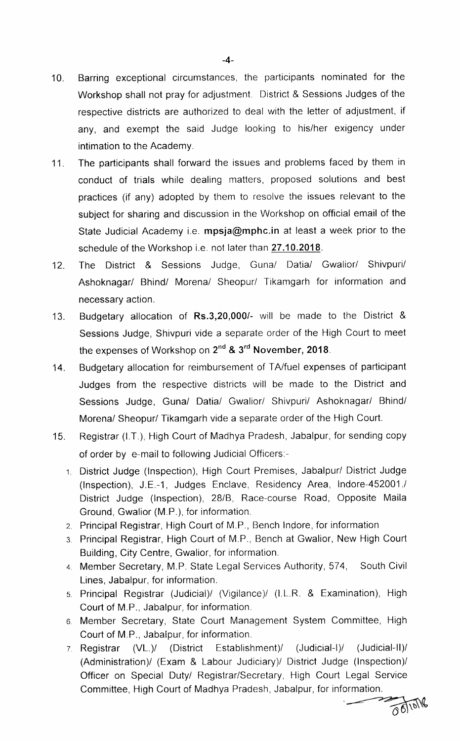- 10. Barring exceptional circumstances, the participants nominated for the Workshop shall not pray for adjustment. District & Sessions Judges of the respective districts are authorized to deal with the letter of adjustment, if any, and exempt the said Judge looking to his/her exigency under intimation to the Academy.
- 11. The participants shall forward the issues and problems faced by them in conduct of trials while dealing matters, proposed solutions and best practices (if any) adopted by them to resolve the issues relevant to the subject for sharing and discussion in the Workshop on official email of the State Judicial Academy i.e. mpsja@mphc.in at least a week prior to the schedule of the Workshop i.e. not later than 27.10.2018.
- 12. The District & Sessions Judge, Guna/ Datia/ Gwalior/ Shivpuri/ Ashoknagar/ Bhind/ Morena/ Sheopur/ Tikamgarh for information and necessary action.
- 13. Budgetary allocation of Rs.3,20,000/- will be made to the District & Sessions Judge, Shivpuri vide a separate order of the High Court to meet the expenses of Workshop on 2<sup>nd</sup> & 3<sup>rd</sup> November, 2018.
- 14. Budgetary allocation for reimbursement of TA/fuel expenses of participant Judges from the respective districts will be made to the District and Sessions Judge, Guna/ Datia/ Gwalior/ Shivpuri/ Ashoknagar/ Bhind/ Morena/ Sheopur/ Tikamgarh vide a separate order of the High Court.
- 15. Registrar (I.T.), High court of Madhya pradesh, Jabalpur, for sending copy of order by e-mail to following Judicial Officers:-
	- District Judge (Inspection), High Court Premises, Jabalpur/ District Judge (Inspection), J.E.-1, Judges Enclave, Residency Area, lndore-452001./ District Judge (Inspection), 28/8, Race-course Road, Opposite Maila Ground, Gwalior (M.P.), for information.
	- 2. Principal Registrar, High Court of M.P., Bench lndore, for information
	- 3. Principal Registrar, High Court of M.P., Bench at Gwalior, New High Court Building, City Centre, Gwalior, for information.
	- 4. Member secretary, M.P. State Legal services Authority, 574, South civil Lines, Jabalpur, for information.
	- 5. Principal Registrar (Judicial)/ (Vigilance)/ (I.L.R. & Examination), High Court of M.P., Jabalpur, for information.
	- 6. Member Secretary, State Court Management System Committee, High Court of M.P., Jabalpur, for information.
	- 7. Registrar (VL)/ (District Establishment)/ (Judicial-I)/ (Judicial-ll)/ (Administration)/ (Exam & Labour Judiciary)/ District Judge (Inspection)/ Officer on Special Duty/ Registrar/Secretary, High Court Legal Service<br>Committee, High Court of Madhya Pradesh, Jabalpur, for information.